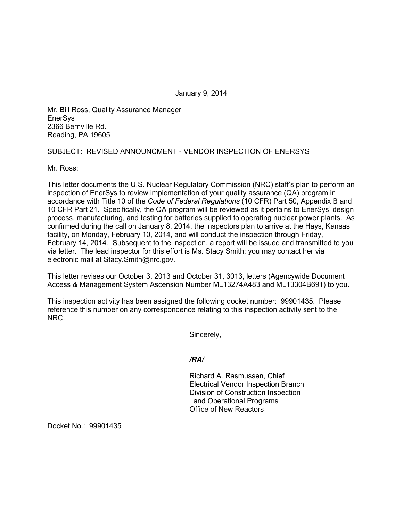January 9, 2014

Mr. Bill Ross, Quality Assurance Manager **EnerSys** 2366 Bernville Rd. Reading, PA 19605

## SUBJECT: REVISED ANNOUNCMENT - VENDOR INSPECTION OF ENERSYS

Mr. Ross:

This letter documents the U.S. Nuclear Regulatory Commission (NRC) staff's plan to perform an inspection of EnerSys to review implementation of your quality assurance (QA) program in accordance with Title 10 of the *Code of Federal Regulations* (10 CFR) Part 50, Appendix B and 10 CFR Part 21. Specifically, the QA program will be reviewed as it pertains to EnerSys' design process, manufacturing, and testing for batteries supplied to operating nuclear power plants. As confirmed during the call on January 8, 2014, the inspectors plan to arrive at the Hays, Kansas facility, on Monday, February 10, 2014, and will conduct the inspection through Friday, February 14, 2014. Subsequent to the inspection, a report will be issued and transmitted to you via letter. The lead inspector for this effort is Ms. Stacy Smith; you may contact her via electronic mail at Stacy.Smith@nrc.gov.

This letter revises our October 3, 2013 and October 31, 3013, letters (Agencywide Document Access & Management System Ascension Number ML13274A483 and ML13304B691) to you.

This inspection activity has been assigned the following docket number: 99901435. Please reference this number on any correspondence relating to this inspection activity sent to the NRC.

Sincerely,

*/RA/* 

Richard A. Rasmussen, Chief Electrical Vendor Inspection Branch Division of Construction Inspection and Operational Programs Office of New Reactors

Docket No.: 99901435